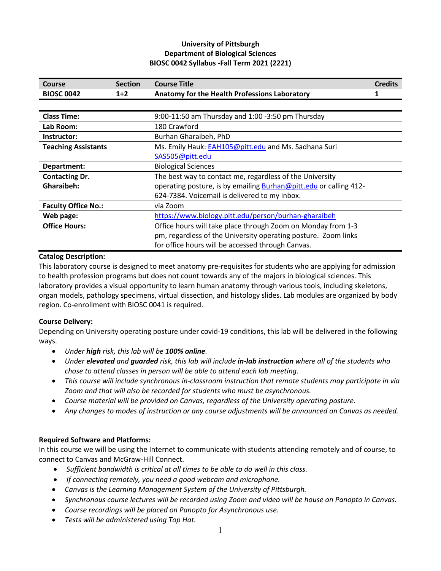# **University of Pittsburgh Department of Biological Sciences BIOSC 0042 Syllabus -Fall Term 2021 (2221)**

| Course                     | <b>Section</b>                                                           | <b>Course Title</b>                                            | <b>Credits</b> |  |
|----------------------------|--------------------------------------------------------------------------|----------------------------------------------------------------|----------------|--|
| <b>BIOSC 0042</b>          | $1+2$                                                                    | Anatomy for the Health Professions Laboratory                  |                |  |
|                            |                                                                          |                                                                |                |  |
| <b>Class Time:</b>         |                                                                          | 9:00-11:50 am Thursday and 1:00 -3:50 pm Thursday              |                |  |
| Lab Room:                  |                                                                          | 180 Crawford                                                   |                |  |
| Instructor:                |                                                                          | Burhan Gharaibeh, PhD                                          |                |  |
| <b>Teaching Assistants</b> | Ms. Emily Hauk: EAH105@pitt.edu and Ms. Sadhana Suri                     |                                                                |                |  |
|                            |                                                                          | SAS505@pitt.edu                                                |                |  |
| Department:                | <b>Biological Sciences</b>                                               |                                                                |                |  |
| <b>Contacting Dr.</b>      | The best way to contact me, regardless of the University                 |                                                                |                |  |
| Gharaibeh:                 | operating posture, is by emailing <b>Burhan@pitt.edu</b> or calling 412- |                                                                |                |  |
|                            |                                                                          | 624-7384. Voicemail is delivered to my inbox.                  |                |  |
| <b>Faculty Office No.:</b> | via Zoom                                                                 |                                                                |                |  |
| Web page:                  | https://www.biology.pitt.edu/person/burhan-gharaibeh                     |                                                                |                |  |
| <b>Office Hours:</b>       | Office hours will take place through Zoom on Monday from 1-3             |                                                                |                |  |
|                            |                                                                          | pm, regardless of the University operating posture. Zoom links |                |  |
|                            |                                                                          | for office hours will be accessed through Canvas.              |                |  |

### **Catalog Description:**

This laboratory course is designed to meet anatomy pre-requisites for students who are applying for admission to health profession programs but does not count towards any of the majors in biological sciences. This laboratory provides a visual opportunity to learn human anatomy through various tools, including skeletons, organ models, pathology specimens, virtual dissection, and histology slides. Lab modules are organized by body region. Co-enrollment with BIOSC 0041 is required.

### **Course Delivery:**

Depending on University operating posture under covid-19 conditions, this lab will be delivered in the following ways.

- *Under high risk, this lab will be 100% online.*
- *Under elevated and guarded risk, this lab will include in-lab instruction where all of the students who chose to attend classes in person will be able to attend each lab meeting.*
- *This course will include synchronous in-classroom instruction that remote students may participate in via Zoom and that will also be recorded for students who must be asynchronous.*
- *Course material will be provided on Canvas, regardless of the University operating posture.*
- *Any changes to modes of instruction or any course adjustments will be announced on Canvas as needed.*

### **Required Software and Platforms:**

In this course we will be using the Internet to communicate with students attending remotely and of course, to connect to Canvas and McGraw-Hill Connect.

- *Sufficient bandwidth is critical at all times to be able to do well in this class.*
- *If connecting remotely, you need a good webcam and microphone.*
- *Canvas is the Learning Management System of the University of Pittsburgh.*
- *Synchronous course lectures will be recorded using Zoom and video will be house on Panopto in Canvas.*
- *Course recordings will be placed on Panopto for Asynchronous use.*
- *Tests will be administered using Top Hat.*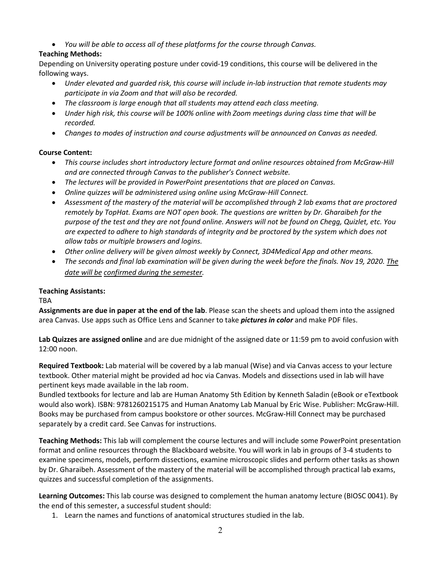• *You will be able to access all of these platforms for the course through Canvas.*

# **Teaching Methods:**

Depending on University operating posture under covid-19 conditions, this course will be delivered in the following ways.

- *Under elevated and guarded risk, this course will include in-lab instruction that remote students may participate in via Zoom and that will also be recorded.*
- *The classroom is large enough that all students may attend each class meeting.*
- *Under high risk, this course will be 100% online with Zoom meetings during class time that will be recorded.*
- *Changes to modes of instruction and course adjustments will be announced on Canvas as needed.*

## **Course Content:**

- *This course includes short introductory lecture format and online resources obtained from McGraw-Hill and are connected through Canvas to the publisher's Connect website.*
- *The lectures will be provided in PowerPoint presentations that are placed on Canvas.*
- *Online quizzes will be administered using online using McGraw-Hill Connect.*
- *Assessment of the mastery of the material will be accomplished through 2 lab exams that are proctored remotely by TopHat. Exams are NOT open book. The questions are written by Dr. Gharaibeh for the purpose of the test and they are not found online. Answers will not be found on Chegg, Quizlet, etc. You are expected to adhere to high standards of integrity and be proctored by the system which does not allow tabs or multiple browsers and logins.*
- *Other online delivery will be given almost weekly by Connect, 3D4Medical App and other means.*
- *The seconds and final lab examination will be given during the week before the finals. Nov 19, 2020. The date will be confirmed during the semester.*

## **Teaching Assistants:**

TBA

**Assignments are due in paper at the end of the lab**. Please scan the sheets and upload them into the assigned area Canvas. Use apps such as Office Lens and Scanner to take *pictures in color* and make PDF files.

**Lab Quizzes are assigned online** and are due midnight of the assigned date or 11:59 pm to avoid confusion with 12:00 noon.

**Required Textbook:** Lab material will be covered by a lab manual (Wise) and via Canvas access to your lecture textbook. Other material might be provided ad hoc via Canvas. Models and dissections used in lab will have pertinent keys made available in the lab room.

Bundled textbooks for lecture and lab are Human Anatomy 5th Edition by Kenneth Saladin (eBook or eTextbook would also work). ISBN: 9781260215175 and Human Anatomy Lab Manual by Eric Wise. Publisher: McGraw-Hill. Books may be purchased from campus bookstore or other sources. McGraw-Hill Connect may be purchased separately by a credit card. See Canvas for instructions.

**Teaching Methods:** This lab will complement the course lectures and will include some PowerPoint presentation format and online resources through the Blackboard website. You will work in lab in groups of 3-4 students to examine specimens, models, perform dissections, examine microscopic slides and perform other tasks as shown by Dr. Gharaibeh. Assessment of the mastery of the material will be accomplished through practical lab exams, quizzes and successful completion of the assignments.

**Learning Outcomes:** This lab course was designed to complement the human anatomy lecture (BIOSC 0041). By the end of this semester, a successful student should:

1. Learn the names and functions of anatomical structures studied in the lab.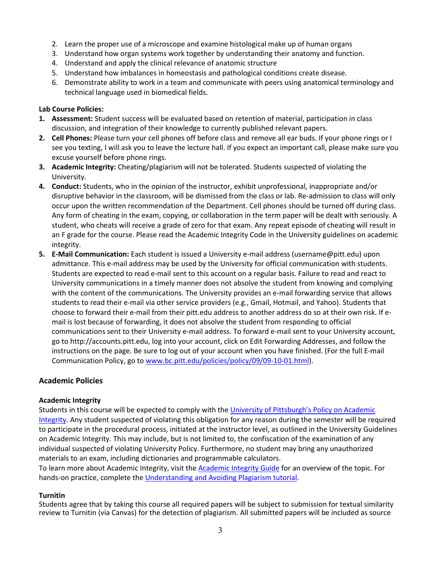- 2. Learn the proper use of a microscope and examine histological make up of human organs
- 3. Understand how organ systems work together by understanding their anatomy and function.
- 4. Understand and apply the clinical relevance of anatomic structure
- 5. Understand how imbalances in homeostasis and pathological conditions create disease.
- 6. Demonstrate ability to work in a team and communicate with peers using anatomical terminology and technical language used in biomedical fields.

### **Lab Course Policies:**

- **1. Assessment:** Student success will be evaluated based on retention of material, participation in class discussion, and integration of their knowledge to currently published relevant papers.
- **2. Cell Phones:** Please turn your cell phones off before class and remove all ear buds. If your phone rings or I see you texting, I will ask you to leave the lecture hall. If you expect an important call, please make sure you excuse yourself before phone rings.
- **3. Academic Integrity:** Cheating/plagiarism will not be tolerated. Students suspected of violating the University.
- **4. Conduct:** Students, who in the opinion of the instructor, exhibit unprofessional, inappropriate and/or disruptive behavior in the classroom, will be dismissed from the class or lab. Re-admission to class will only occur upon the written recommendation of the Department. Cell phones should be turned off during class. Any form of cheating in the exam, copying, or collaboration in the term paper will be dealt with seriously. A student, who cheats will receive a grade of zero for that exam. Any repeat episode of cheating will result in an F grade for the course. Please read the Academic Integrity Code in the University guidelines on academic integrity.
- **5. E-Mail Communication:** Each student is issued a University e-mail address (username@pitt.edu) upon admittance. This e-mail address may be used by the University for official communication with students. Students are expected to read e-mail sent to this account on a regular basis. Failure to read and react to University communications in a timely manner does not absolve the student from knowing and complying with the content of the communications. The University provides an e-mail forwarding service that allows students to read their e-mail via other service providers (e.g., Gmail, Hotmail, and Yahoo). Students that choose to forward their e-mail from their pitt.edu address to another address do so at their own risk. If email is lost because of forwarding, it does not absolve the student from responding to official communications sent to their University e-mail address. To forward e-mail sent to your University account, go to http://accounts.pitt.edu, log into your account, click on Edit Forwarding Addresses, and follow the instructions on the page. Be sure to log out of your account when you have finished. (For the full E-mail Communication Policy, go to www.bc.pitt.edu/policies/policy/09/09-10-01.html).

### **Academic Policies**

### **Academic Integrity**

Students in this course will be expected to comply with the University of Pittsburgh's Policy on Academic [Integrity.](http://www.cfo.pitt.edu/policies/policy/02/02-03-02.html) Any student suspected of violating this obligation for any reason during the semester will be required to participate in the procedural process, initiated at the instructor level, as outlined in the University Guidelines on Academic Integrity. This may include, but is not limited to, the confiscation of the examination of any individual suspected of violating University Policy. Furthermore, no student may bring any unauthorized materials to an exam, including dictionaries and programmable calculators.

To learn more about Academic Integrity, visit the [Academic Integrity Guide](https://pitt.libguides.com/academicintegrity/) for an overview of the topic. For hands-on practice, complete th[e Understanding and Avoiding Plagiarism tutorial.](https://pitt.libguides.com/academicintegrity/plagiarism)

### **Turnitin**

Students agree that by taking this course all required papers will be subject to submission for textual similarity review to Turnitin (via Canvas) for the detection of plagiarism. All submitted papers will be included as source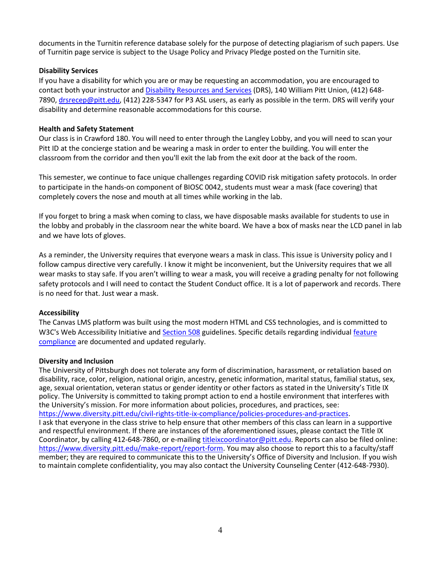documents in the Turnitin reference database solely for the purpose of detecting plagiarism of such papers. Use of Turnitin page service is subject to the Usage Policy and Privacy Pledge posted on the Turnitin site.

### **Disability Services**

If you have a disability for which you are or may be requesting an accommodation, you are encouraged to contact both your instructor and [Disability Resources and Services](https://www.studentaffairs.pitt.edu/drs/) (DRS), 140 William Pitt Union, (412) 648-7890, drsrecep@pitt.edu, (412) 228-5347 for P3 ASL users, as early as possible in the term. DRS will verify your disability and determine reasonable accommodations for this course.

#### **Health and Safety Statement**

Our class is in Crawford 180. You will need to enter through the Langley Lobby, and you will need to scan your Pitt ID at the concierge station and be wearing a mask in order to enter the building. You will enter the classroom from the corridor and then you'll exit the lab from the exit door at the back of the room.

This semester, we continue to face unique challenges regarding COVID risk mitigation safety protocols. In order to participate in the hands-on component of BIOSC 0042, students must wear a mask (face covering) that completely covers the nose and mouth at all times while working in the lab.

If you forget to bring a mask when coming to class, we have disposable masks available for students to use in the lobby and probably in the classroom near the white board. We have a box of masks near the LCD panel in lab and we have lots of gloves.

As a reminder, the University requires that everyone wears a mask in class. This issue is University policy and I follow campus directive very carefully. I know it might be inconvenient, but the University requires that we all wear masks to stay safe. If you aren't willing to wear a mask, you will receive a grading penalty for not following safety protocols and I will need to contact the Student Conduct office. It is a lot of paperwork and records. There is no need for that. Just wear a mask.

#### **Accessibility**

The Canvas LMS platform was built using the most modern HTML and CSS technologies, and is committed to W3C's Web Accessibility Initiative an[d Section 508](https://www.section508.gov/) guidelines. Specific details regarding individual feature [compliance](https://community.canvaslms.com/t5/Accessibility/Accessibility-within-Canvas/ba-p/261501) are documented and updated regularly.

#### **Diversity and Inclusion**

The University of Pittsburgh does not tolerate any form of discrimination, harassment, or retaliation based on disability, race, color, religion, national origin, ancestry, genetic information, marital status, familial status, sex, age, sexual orientation, veteran status or gender identity or other factors as stated in the University's Title IX policy. The University is committed to taking prompt action to end a hostile environment that interferes with the University's mission. For more information about policies, procedures, and practices, see: [https://www.diversity.pitt.edu/civil-rights-title-ix-compliance/policies-procedures-and-practices.](https://www.diversity.pitt.edu/civil-rights-title-ix-compliance/policies-procedures-and-practices) I ask that everyone in the class strive to help ensure that other members of this class can learn in a supportive and respectful environment. If there are instances of the aforementioned issues, please contact the Title IX Coordinator, by calling 412-648-7860, or e-mailing titleixcoordinator@pitt.edu. Reports can also be filed online: [https://www.diversity.pitt.edu/make-report/report-form.](https://www.diversity.pitt.edu/make-report/report-form) You may also choose to report this to a faculty/staff member; they are required to communicate this to the University's Office of Diversity and Inclusion. If you wish to maintain complete confidentiality, you may also contact the University Counseling Center (412-648-7930).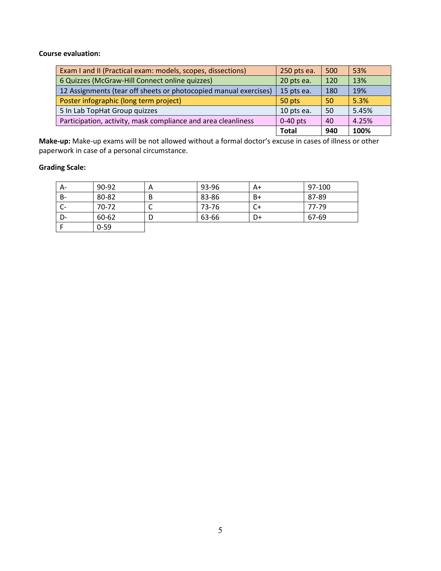### **Course evaluation:**

| Exam I and II (Practical exam: models, scopes, dissections)      | 250 pts ea.  | 500 | 53%   |
|------------------------------------------------------------------|--------------|-----|-------|
| 6 Quizzes (McGraw-Hill Connect online quizzes)                   | 20 pts ea.   | 120 | 13%   |
| 12 Assignments (tear off sheets or photocopied manual exercises) | 15 pts ea.   | 180 | 19%   |
| Poster infographic (long term project)                           | 50 pts       | 50  | 5.3%  |
| 5 In Lab TopHat Group quizzes                                    | 10 pts ea.   | -50 | 5.45% |
| Participation, activity, mask compliance and area cleanliness    | $0-40$ pts   | 40  | 4.25% |
|                                                                  | <b>Total</b> | 940 | 100%  |

**Make-up:** Make-up exams will be not allowed without a formal doctor's excuse in cases of illness or other paperwork in case of a personal circumstance.

# **Grading Scale:**

| A-        | 90-92    | A | 93-96 | A+ | 97-100 |
|-----------|----------|---|-------|----|--------|
| <b>B-</b> | 80-82    | B | 83-86 | B+ | 87-89  |
| C-        | 70-72    |   | 73-76 | C+ | 77-79  |
| D-        | 60-62    |   | 63-66 | D+ | 67-69  |
|           | $0 - 59$ |   |       |    |        |